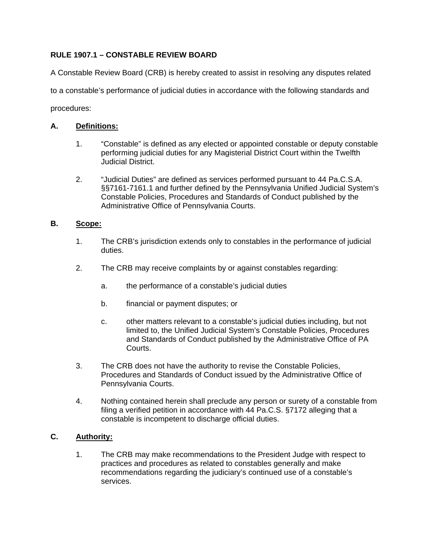# **RULE 1907.1 – CONSTABLE REVIEW BOARD**

A Constable Review Board (CRB) is hereby created to assist in resolving any disputes related to a constable's performance of judicial duties in accordance with the following standards and procedures:

## **A. Definitions:**

- 1. "Constable" is defined as any elected or appointed constable or deputy constable performing judicial duties for any Magisterial District Court within the Twelfth Judicial District.
- 2. "Judicial Duties" are defined as services performed pursuant to 44 Pa.C.S.A. §§7161-7161.1 and further defined by the Pennsylvania Unified Judicial System's Constable Policies, Procedures and Standards of Conduct published by the Administrative Office of Pennsylvania Courts.

### **B. Scope:**

- 1. The CRB's jurisdiction extends only to constables in the performance of judicial duties.
- 2. The CRB may receive complaints by or against constables regarding:
	- a. the performance of a constable's judicial duties
	- b. financial or payment disputes; or
	- c. other matters relevant to a constable's judicial duties including, but not limited to, the Unified Judicial System's Constable Policies, Procedures and Standards of Conduct published by the Administrative Office of PA Courts.
- 3. The CRB does not have the authority to revise the Constable Policies, Procedures and Standards of Conduct issued by the Administrative Office of Pennsylvania Courts.
- 4. Nothing contained herein shall preclude any person or surety of a constable from filing a verified petition in accordance with 44 Pa.C.S. §7172 alleging that a constable is incompetent to discharge official duties.

### **C. Authority:**

 1. The CRB may make recommendations to the President Judge with respect to practices and procedures as related to constables generally and make recommendations regarding the judiciary's continued use of a constable's services.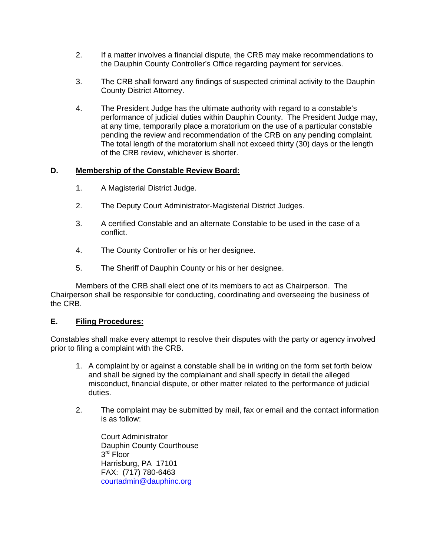- 2. If a matter involves a financial dispute, the CRB may make recommendations to the Dauphin County Controller's Office regarding payment for services.
- 3. The CRB shall forward any findings of suspected criminal activity to the Dauphin County District Attorney.
- 4. The President Judge has the ultimate authority with regard to a constable's performance of judicial duties within Dauphin County. The President Judge may, at any time, temporarily place a moratorium on the use of a particular constable pending the review and recommendation of the CRB on any pending complaint. The total length of the moratorium shall not exceed thirty (30) days or the length of the CRB review, whichever is shorter.

### **D. Membership of the Constable Review Board:**

- 1. A Magisterial District Judge.
- 2. The Deputy Court Administrator-Magisterial District Judges.
- 3. A certified Constable and an alternate Constable to be used in the case of a conflict.
- 4. The County Controller or his or her designee.
- 5. The Sheriff of Dauphin County or his or her designee.

 Members of the CRB shall elect one of its members to act as Chairperson. The Chairperson shall be responsible for conducting, coordinating and overseeing the business of the CRB.

#### **E. Filing Procedures:**

Constables shall make every attempt to resolve their disputes with the party or agency involved prior to filing a complaint with the CRB.

- 1. A complaint by or against a constable shall be in writing on the form set forth below and shall be signed by the complainant and shall specify in detail the alleged misconduct, financial dispute, or other matter related to the performance of judicial duties.
- 2. The complaint may be submitted by mail, fax or email and the contact information is as follow:

 Court Administrator Dauphin County Courthouse 3<sup>rd</sup> Floor Harrisburg, PA 17101 FAX: (717) 780-6463 courtadmin@dauphinc.org